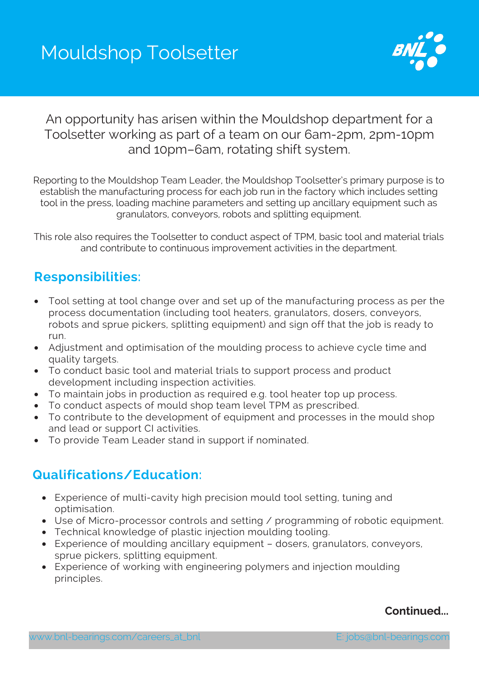

An opportunity has arisen within the Mouldshop department for a Toolsetter working as part of a team on our 6am-2pm, 2pm-10pm and 10pm–6am, rotating shift system.

Reporting to the Mouldshop Team Leader, the Mouldshop Toolsetter's primary purpose is to establish the manufacturing process for each job run in the factory which includes setting tool in the press, loading machine parameters and setting up ancillary equipment such as granulators, conveyors, robots and splitting equipment.

This role also requires the Toolsetter to conduct aspect of TPM, basic tool and material trials and contribute to continuous improvement activities in the department.

## **Responsibilities:**

- Tool setting at tool change over and set up of the manufacturing process as per the process documentation (including tool heaters, granulators, dosers, conveyors, robots and sprue pickers, splitting equipment) and sign off that the job is ready to run.
- Adjustment and optimisation of the moulding process to achieve cycle time and quality targets.
- To conduct basic tool and material trials to support process and product development including inspection activities.
- To maintain jobs in production as required e.g. tool heater top up process.
- To conduct aspects of mould shop team level TPM as prescribed.
- To contribute to the development of equipment and processes in the mould shop and lead or support CI activities.
- To provide Team Leader stand in support if nominated.

## **Qualifications/Education:**

- Experience of multi-cavity high precision mould tool setting, tuning and optimisation.
- Use of Micro-processor controls and setting / programming of robotic equipment.
- Technical knowledge of plastic injection moulding tooling.
- Experience of moulding ancillary equipment dosers, granulators, conveyors, sprue pickers, splitting equipment.
- Experience of working with engineering polymers and injection moulding principles.

## **Continued...**